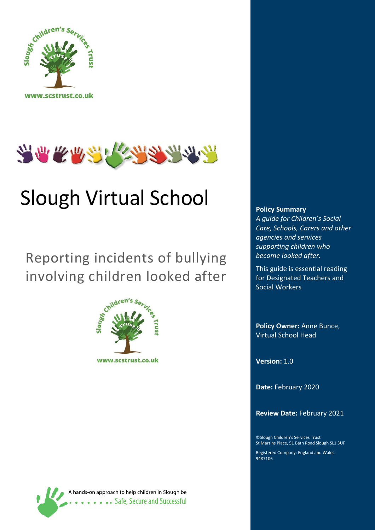



# Slough Virtual School

Reporting incidents of bullying involving children looked after



A hands-on approach to help children in Slough be **Safe, Secure and Successful** 

#### **Policy Summary**

*A guide for Children's Social Care, Schools, Carers and other agencies and services supporting children who become looked after.*

This guide is essential reading for Designated Teachers and Social Workers

**Policy Owner:** Anne Bunce, Virtual School Head

**Version:** 1.0

**Date:** February 2020

**Review Date:** February 2021

©Slough Children's Services Trust St Martins Place, 51 Bath Road Slough SL1 3UF

Registered Company: England and Wales: 9487106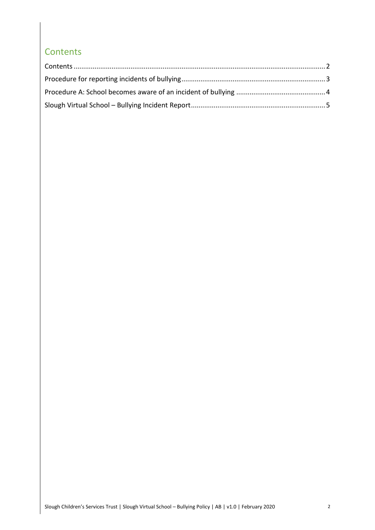#### <span id="page-1-0"></span>**Contents**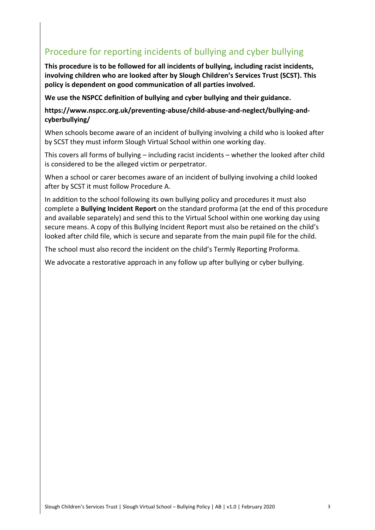### <span id="page-2-0"></span>Procedure for reporting incidents of bullying and cyber bullying

**This procedure is to be followed for all incidents of bullying, including racist incidents, involving children who are looked after by Slough Children's Services Trust (SCST). This policy is dependent on good communication of all parties involved.**

**We use the NSPCC definition of bullying and cyber bullying and their guidance.**

**https://www.nspcc.org.uk/preventing-abuse/child-abuse-and-neglect/bullying-andcyberbullying/**

When schools become aware of an incident of bullying involving a child who is looked after by SCST they must inform Slough Virtual School within one working day.

This covers all forms of bullying – including racist incidents – whether the looked after child is considered to be the alleged victim or perpetrator.

When a school or carer becomes aware of an incident of bullying involving a child looked after by SCST it must follow Procedure A.

In addition to the school following its own bullying policy and procedures it must also complete a **Bullying Incident Report** on the standard proforma (at the end of this procedure and available separately) and send this to the Virtual School within one working day using secure means. A copy of this Bullying Incident Report must also be retained on the child's looked after child file, which is secure and separate from the main pupil file for the child.

The school must also record the incident on the child's Termly Reporting Proforma.

We advocate a restorative approach in any follow up after bullying or cyber bullying.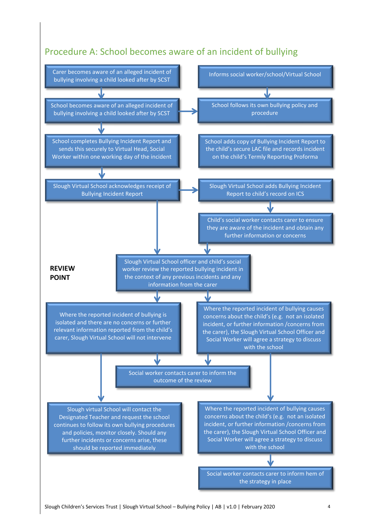#### <span id="page-3-0"></span>Procedure A: School becomes aware of an incident of bullying

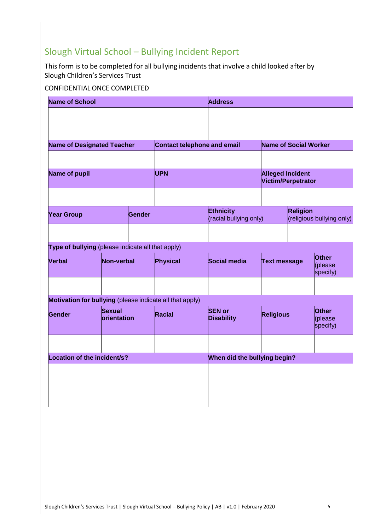## <span id="page-4-0"></span>Slough Virtual School – Bullying Incident Report

This form is to be completed for all bullying incidents that involve a child looked after by Slough Children's Services Trust

#### CONFIDENTIAL ONCE COMPLETED

| <b>Name of School</b>                                    |                                     |        |                             | <b>Address</b>                             |                                               |                                              |                              |
|----------------------------------------------------------|-------------------------------------|--------|-----------------------------|--------------------------------------------|-----------------------------------------------|----------------------------------------------|------------------------------|
|                                                          |                                     |        |                             |                                            |                                               |                                              |                              |
| <b>Name of Designated Teacher</b>                        |                                     |        | Contact telephone and email |                                            | Name of Social Worker                         |                                              |                              |
|                                                          |                                     |        |                             |                                            |                                               |                                              |                              |
| <b>Name of pupil</b>                                     |                                     |        | <b>UPN</b>                  |                                            | <b>Alleged Incident</b><br>Victim/Perpetrator |                                              |                              |
|                                                          |                                     |        |                             |                                            |                                               |                                              |                              |
| <b>Year Group</b>                                        |                                     | Gender |                             | <b>Ethnicity</b><br>(racial bullying only) |                                               | <b>Religion</b><br>(religious bullying only) |                              |
|                                                          |                                     |        |                             |                                            |                                               |                                              |                              |
| Type of bullying (please indicate all that apply)        |                                     |        |                             |                                            |                                               |                                              |                              |
| <b>Verbal</b>                                            | Non-verbal                          |        | Physical                    | Social media                               | <b>Text message</b>                           |                                              | Other<br>(please<br>specify) |
|                                                          |                                     |        |                             |                                            |                                               |                                              |                              |
| Motivation for bullying (please indicate all that apply) |                                     |        |                             |                                            |                                               |                                              |                              |
| Gender                                                   | <b>Sexual</b><br><b>orientation</b> |        | Racial                      | <b>SEN or</b><br><b>Disability</b>         | <b>Religious</b>                              |                                              | Other<br>please<br>specify)  |
|                                                          |                                     |        |                             |                                            |                                               |                                              |                              |
| Location of the incident/s?                              |                                     |        |                             | When did the bullying begin?               |                                               |                                              |                              |
|                                                          |                                     |        |                             |                                            |                                               |                                              |                              |
|                                                          |                                     |        |                             |                                            |                                               |                                              |                              |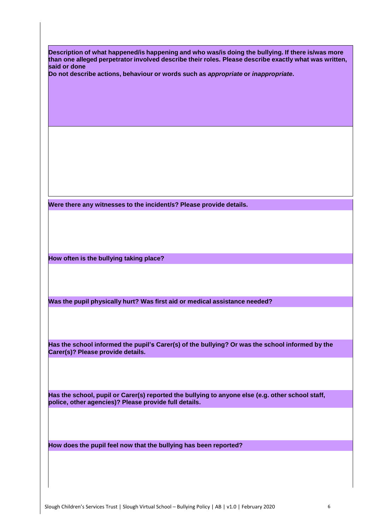| Description of what happened/is happening and who was/is doing the bullying. If there is/was more<br>than one alleged perpetrator involved describe their roles. Please describe exactly what was written, |  |  |  |  |  |  |
|------------------------------------------------------------------------------------------------------------------------------------------------------------------------------------------------------------|--|--|--|--|--|--|
| said or done                                                                                                                                                                                               |  |  |  |  |  |  |
| Do not describe actions, behaviour or words such as appropriate or inappropriate.                                                                                                                          |  |  |  |  |  |  |
|                                                                                                                                                                                                            |  |  |  |  |  |  |
|                                                                                                                                                                                                            |  |  |  |  |  |  |
|                                                                                                                                                                                                            |  |  |  |  |  |  |
|                                                                                                                                                                                                            |  |  |  |  |  |  |
|                                                                                                                                                                                                            |  |  |  |  |  |  |
|                                                                                                                                                                                                            |  |  |  |  |  |  |
|                                                                                                                                                                                                            |  |  |  |  |  |  |
|                                                                                                                                                                                                            |  |  |  |  |  |  |
|                                                                                                                                                                                                            |  |  |  |  |  |  |
|                                                                                                                                                                                                            |  |  |  |  |  |  |
|                                                                                                                                                                                                            |  |  |  |  |  |  |
|                                                                                                                                                                                                            |  |  |  |  |  |  |
| Were there any witnesses to the incident/s? Please provide details.                                                                                                                                        |  |  |  |  |  |  |
|                                                                                                                                                                                                            |  |  |  |  |  |  |
|                                                                                                                                                                                                            |  |  |  |  |  |  |
|                                                                                                                                                                                                            |  |  |  |  |  |  |
|                                                                                                                                                                                                            |  |  |  |  |  |  |
| How often is the bullying taking place?                                                                                                                                                                    |  |  |  |  |  |  |
|                                                                                                                                                                                                            |  |  |  |  |  |  |
|                                                                                                                                                                                                            |  |  |  |  |  |  |
|                                                                                                                                                                                                            |  |  |  |  |  |  |
|                                                                                                                                                                                                            |  |  |  |  |  |  |
| Was the pupil physically hurt? Was first aid or medical assistance needed?                                                                                                                                 |  |  |  |  |  |  |
|                                                                                                                                                                                                            |  |  |  |  |  |  |
|                                                                                                                                                                                                            |  |  |  |  |  |  |
|                                                                                                                                                                                                            |  |  |  |  |  |  |
| Has the school informed the pupil's Carer(s) of the bullying? Or was the school informed by the                                                                                                            |  |  |  |  |  |  |
| Carer(s)? Please provide details.                                                                                                                                                                          |  |  |  |  |  |  |
|                                                                                                                                                                                                            |  |  |  |  |  |  |
|                                                                                                                                                                                                            |  |  |  |  |  |  |
|                                                                                                                                                                                                            |  |  |  |  |  |  |
| Has the school, pupil or Carer(s) reported the bullying to anyone else (e.g. other school staff,                                                                                                           |  |  |  |  |  |  |
| police, other agencies)? Please provide full details.                                                                                                                                                      |  |  |  |  |  |  |
|                                                                                                                                                                                                            |  |  |  |  |  |  |
|                                                                                                                                                                                                            |  |  |  |  |  |  |
|                                                                                                                                                                                                            |  |  |  |  |  |  |
|                                                                                                                                                                                                            |  |  |  |  |  |  |
| How does the pupil feel now that the bullying has been reported?                                                                                                                                           |  |  |  |  |  |  |
|                                                                                                                                                                                                            |  |  |  |  |  |  |
|                                                                                                                                                                                                            |  |  |  |  |  |  |
|                                                                                                                                                                                                            |  |  |  |  |  |  |
|                                                                                                                                                                                                            |  |  |  |  |  |  |